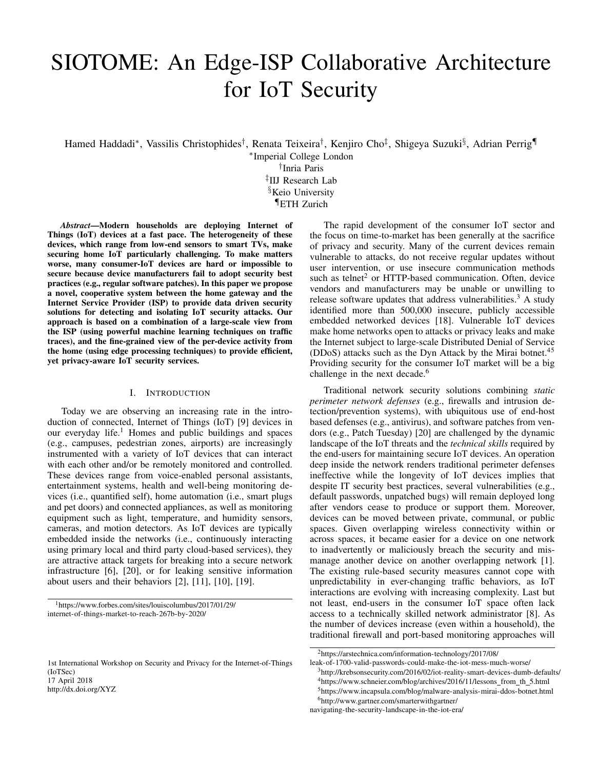# SIOTOME: An Edge-ISP Collaborative Architecture for IoT Security

Hamed Haddadi\*, Vassilis Christophides<sup>†</sup>, Renata Teixeira<sup>†</sup>, Kenjiro Cho<sup>‡</sup>, Shigeya Suzuki<sup>§</sup>, Adrian Perrig¶

∗ Imperial College London

† Inria Paris

‡ IIJ Research Lab

§Keio University

¶ETH Zurich

*Abstract*—Modern households are deploying Internet of Things (IoT) devices at a fast pace. The heterogeneity of these devices, which range from low-end sensors to smart TVs, make securing home IoT particularly challenging. To make matters worse, many consumer-IoT devices are hard or impossible to secure because device manufacturers fail to adopt security best practices (e.g., regular software patches). In this paper we propose a novel, cooperative system between the home gateway and the Internet Service Provider (ISP) to provide data driven security solutions for detecting and isolating IoT security attacks. Our approach is based on a combination of a large-scale view from the ISP (using powerful machine learning techniques on traffic traces), and the fine-grained view of the per-device activity from the home (using edge processing techniques) to provide efficient, yet privacy-aware IoT security services.

#### I. INTRODUCTION

Today we are observing an increasing rate in the introduction of connected, Internet of Things (IoT) [9] devices in our everyday life.<sup>1</sup> Homes and public buildings and spaces (e.g., campuses, pedestrian zones, airports) are increasingly instrumented with a variety of IoT devices that can interact with each other and/or be remotely monitored and controlled. These devices range from voice-enabled personal assistants, entertainment systems, health and well-being monitoring devices (i.e., quantified self), home automation (i.e., smart plugs and pet doors) and connected appliances, as well as monitoring equipment such as light, temperature, and humidity sensors, cameras, and motion detectors. As IoT devices are typically embedded inside the networks (i.e., continuously interacting using primary local and third party cloud-based services), they are attractive attack targets for breaking into a secure network infrastructure [6], [20], or for leaking sensitive information about users and their behaviors [2], [11], [10], [19].

<sup>1</sup>https://www.forbes.com/sites/louiscolumbus/2017/01/29/ internet-of-things-market-to-reach-267b-by-2020/

1st International Workshop on Security and Privacy for the Internet-of-Things (IoTSec) 17 April 2018 http://dx.doi.org/XYZ

The rapid development of the consumer IoT sector and the focus on time-to-market has been generally at the sacrifice of privacy and security. Many of the current devices remain vulnerable to attacks, do not receive regular updates without user intervention, or use insecure communication methods such as telnet<sup>2</sup> or HTTP-based communication. Often, device vendors and manufacturers may be unable or unwilling to release software updates that address vulnerabilities.<sup>3</sup> A study identified more than 500,000 insecure, publicly accessible embedded networked devices [18]. Vulnerable IoT devices make home networks open to attacks or privacy leaks and make the Internet subject to large-scale Distributed Denial of Service (DDoS) attacks such as the Dyn Attack by the Mirai botnet.<sup>45</sup> Providing security for the consumer IoT market will be a big challenge in the next decade.<sup>6</sup>

Traditional network security solutions combining *static perimeter network defenses* (e.g., firewalls and intrusion detection/prevention systems), with ubiquitous use of end-host based defenses (e.g., antivirus), and software patches from vendors (e.g., Patch Tuesday) [20] are challenged by the dynamic landscape of the IoT threats and the *technical skills* required by the end-users for maintaining secure IoT devices. An operation deep inside the network renders traditional perimeter defenses ineffective while the longevity of IoT devices implies that despite IT security best practices, several vulnerabilities (e.g., default passwords, unpatched bugs) will remain deployed long after vendors cease to produce or support them. Moreover, devices can be moved between private, communal, or public spaces. Given overlapping wireless connectivity within or across spaces, it became easier for a device on one network to inadvertently or maliciously breach the security and mismanage another device on another overlapping network [1]. The existing rule-based security measures cannot cope with unpredictability in ever-changing traffic behaviors, as IoT interactions are evolving with increasing complexity. Last but not least, end-users in the consumer IoT space often lack access to a technically skilled network administrator [8]. As the number of devices increase (even within a household), the traditional firewall and port-based monitoring approaches will

<sup>2</sup>https://arstechnica.com/information-technology/2017/08/

leak-of-1700-valid-passwords-could-make-the-iot-mess-much-worse/

<sup>3</sup>http://krebsonsecurity.com/2016/02/iot-reality-smart-devices-dumb-defaults/

<sup>&</sup>lt;sup>4</sup>https://www.schneier.com/blog/archives/2016/11/lessons\_from\_th\_5.html

<sup>5</sup>https://www.incapsula.com/blog/malware-analysis-mirai-ddos-botnet.html

<sup>6</sup>http://www.gartner.com/smarterwithgartner/

navigating-the-security-landscape-in-the-iot-era/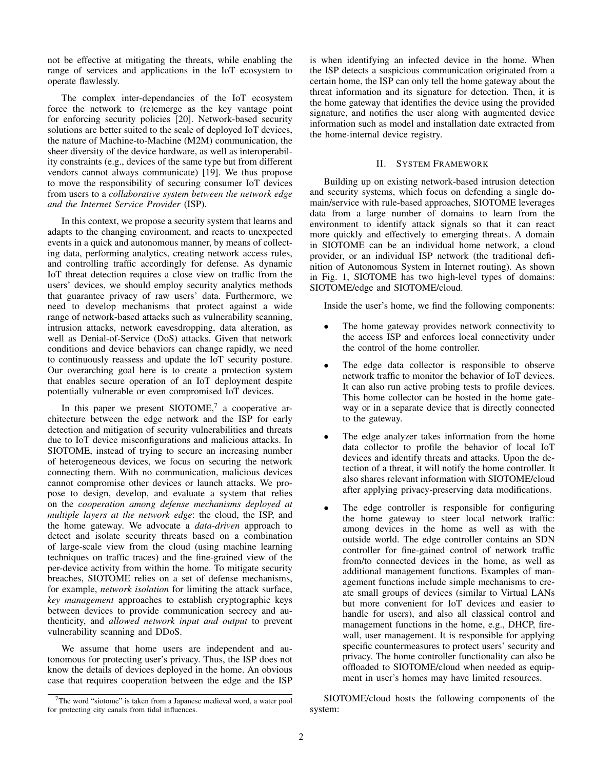not be effective at mitigating the threats, while enabling the range of services and applications in the IoT ecosystem to operate flawlessly.

The complex inter-dependancies of the IoT ecosystem force the network to (re)emerge as the key vantage point for enforcing security policies [20]. Network-based security solutions are better suited to the scale of deployed IoT devices, the nature of Machine-to-Machine (M2M) communication, the sheer diversity of the device hardware, as well as interoperability constraints (e.g., devices of the same type but from different vendors cannot always communicate) [19]. We thus propose to move the responsibility of securing consumer IoT devices from users to a *collaborative system between the network edge and the Internet Service Provider* (ISP).

In this context, we propose a security system that learns and adapts to the changing environment, and reacts to unexpected events in a quick and autonomous manner, by means of collecting data, performing analytics, creating network access rules, and controlling traffic accordingly for defense. As dynamic IoT threat detection requires a close view on traffic from the users' devices, we should employ security analytics methods that guarantee privacy of raw users' data. Furthermore, we need to develop mechanisms that protect against a wide range of network-based attacks such as vulnerability scanning, intrusion attacks, network eavesdropping, data alteration, as well as Denial-of-Service (DoS) attacks. Given that network conditions and device behaviors can change rapidly, we need to continuously reassess and update the IoT security posture. Our overarching goal here is to create a protection system that enables secure operation of an IoT deployment despite potentially vulnerable or even compromised IoT devices.

In this paper we present  $SIOTOME$ , a cooperative architecture between the edge network and the ISP for early detection and mitigation of security vulnerabilities and threats due to IoT device misconfigurations and malicious attacks. In SIOTOME, instead of trying to secure an increasing number of heterogeneous devices, we focus on securing the network connecting them. With no communication, malicious devices cannot compromise other devices or launch attacks. We propose to design, develop, and evaluate a system that relies on the *cooperation among defense mechanisms deployed at multiple layers at the network edge*: the cloud, the ISP, and the home gateway. We advocate a *data-driven* approach to detect and isolate security threats based on a combination of large-scale view from the cloud (using machine learning techniques on traffic traces) and the fine-grained view of the per-device activity from within the home. To mitigate security breaches, SIOTOME relies on a set of defense mechanisms, for example, *network isolation* for limiting the attack surface, *key management* approaches to establish cryptographic keys between devices to provide communication secrecy and authenticity, and *allowed network input and output* to prevent vulnerability scanning and DDoS.

We assume that home users are independent and autonomous for protecting user's privacy. Thus, the ISP does not know the details of devices deployed in the home. An obvious case that requires cooperation between the edge and the ISP

is when identifying an infected device in the home. When the ISP detects a suspicious communication originated from a certain home, the ISP can only tell the home gateway about the threat information and its signature for detection. Then, it is the home gateway that identifies the device using the provided signature, and notifies the user along with augmented device information such as model and installation date extracted from the home-internal device registry.

### II. SYSTEM FRAMEWORK

Building up on existing network-based intrusion detection and security systems, which focus on defending a single domain/service with rule-based approaches, SIOTOME leverages data from a large number of domains to learn from the environment to identify attack signals so that it can react more quickly and effectively to emerging threats. A domain in SIOTOME can be an individual home network, a cloud provider, or an individual ISP network (the traditional definition of Autonomous System in Internet routing). As shown in Fig. 1, SIOTOME has two high-level types of domains: SIOTOME/edge and SIOTOME/cloud.

Inside the user's home, we find the following components:

- The home gateway provides network connectivity to the access ISP and enforces local connectivity under the control of the home controller.
- The edge data collector is responsible to observe network traffic to monitor the behavior of IoT devices. It can also run active probing tests to profile devices. This home collector can be hosted in the home gateway or in a separate device that is directly connected to the gateway.
- The edge analyzer takes information from the home data collector to profile the behavior of local IoT devices and identify threats and attacks. Upon the detection of a threat, it will notify the home controller. It also shares relevant information with SIOTOME/cloud after applying privacy-preserving data modifications.
- The edge controller is responsible for configuring the home gateway to steer local network traffic: among devices in the home as well as with the outside world. The edge controller contains an SDN controller for fine-gained control of network traffic from/to connected devices in the home, as well as additional management functions. Examples of management functions include simple mechanisms to create small groups of devices (similar to Virtual LANs but more convenient for IoT devices and easier to handle for users), and also all classical control and management functions in the home, e.g., DHCP, firewall, user management. It is responsible for applying specific countermeasures to protect users' security and privacy. The home controller functionality can also be offloaded to SIOTOME/cloud when needed as equipment in user's homes may have limited resources.

SIOTOME/cloud hosts the following components of the system:

 $7$ The word "siotome" is taken from a Japanese medieval word, a water pool for protecting city canals from tidal influences.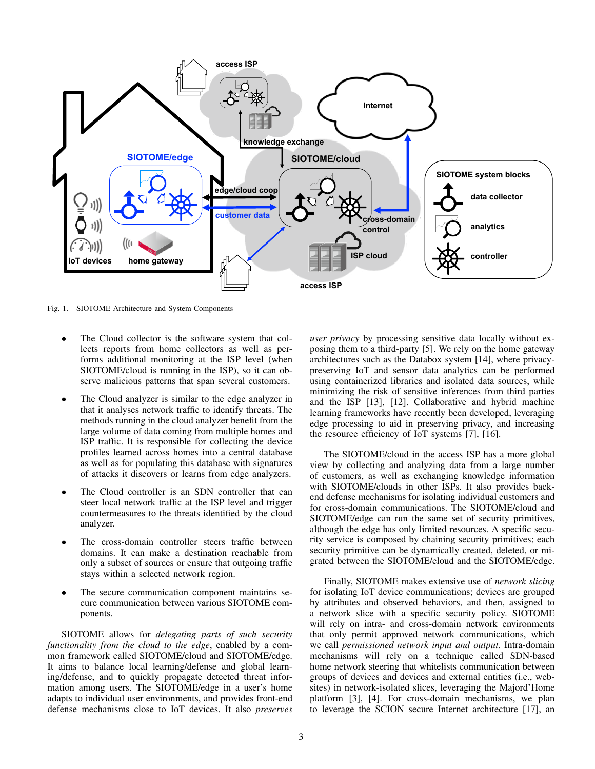

Fig. 1. SIOTOME Architecture and System Components

- The Cloud collector is the software system that collects reports from home collectors as well as performs additional monitoring at the ISP level (when SIOTOME/cloud is running in the ISP), so it can observe malicious patterns that span several customers.
- The Cloud analyzer is similar to the edge analyzer in that it analyses network traffic to identify threats. The methods running in the cloud analyzer benefit from the large volume of data coming from multiple homes and ISP traffic. It is responsible for collecting the device profiles learned across homes into a central database as well as for populating this database with signatures of attacks it discovers or learns from edge analyzers.
- The Cloud controller is an SDN controller that can steer local network traffic at the ISP level and trigger countermeasures to the threats identified by the cloud analyzer.
- The cross-domain controller steers traffic between domains. It can make a destination reachable from only a subset of sources or ensure that outgoing traffic stays within a selected network region.
- The secure communication component maintains secure communication between various SIOTOME components.

SIOTOME allows for *delegating parts of such security functionality from the cloud to the edge*, enabled by a common framework called SIOTOME/cloud and SIOTOME/edge. It aims to balance local learning/defense and global learning/defense, and to quickly propagate detected threat information among users. The SIOTOME/edge in a user's home adapts to individual user environments, and provides front-end defense mechanisms close to IoT devices. It also *preserves* *user privacy* by processing sensitive data locally without exposing them to a third-party [5]. We rely on the home gateway architectures such as the Databox system [14], where privacypreserving IoT and sensor data analytics can be performed using containerized libraries and isolated data sources, while minimizing the risk of sensitive inferences from third parties and the ISP [13], [12]. Collaborative and hybrid machine learning frameworks have recently been developed, leveraging edge processing to aid in preserving privacy, and increasing the resource efficiency of IoT systems [7], [16].

The SIOTOME/cloud in the access ISP has a more global view by collecting and analyzing data from a large number of customers, as well as exchanging knowledge information with SIOTOME/clouds in other ISPs. It also provides backend defense mechanisms for isolating individual customers and for cross-domain communications. The SIOTOME/cloud and SIOTOME/edge can run the same set of security primitives, although the edge has only limited resources. A specific security service is composed by chaining security primitives; each security primitive can be dynamically created, deleted, or migrated between the SIOTOME/cloud and the SIOTOME/edge.

Finally, SIOTOME makes extensive use of *network slicing* for isolating IoT device communications; devices are grouped by attributes and observed behaviors, and then, assigned to a network slice with a specific security policy. SIOTOME will rely on intra- and cross-domain network environments that only permit approved network communications, which we call *permissioned network input and output*. Intra-domain mechanisms will rely on a technique called SDN-based home network steering that whitelists communication between groups of devices and devices and external entities (i.e., websites) in network-isolated slices, leveraging the Majord'Home platform [3], [4]. For cross-domain mechanisms, we plan to leverage the SCION secure Internet architecture [17], an